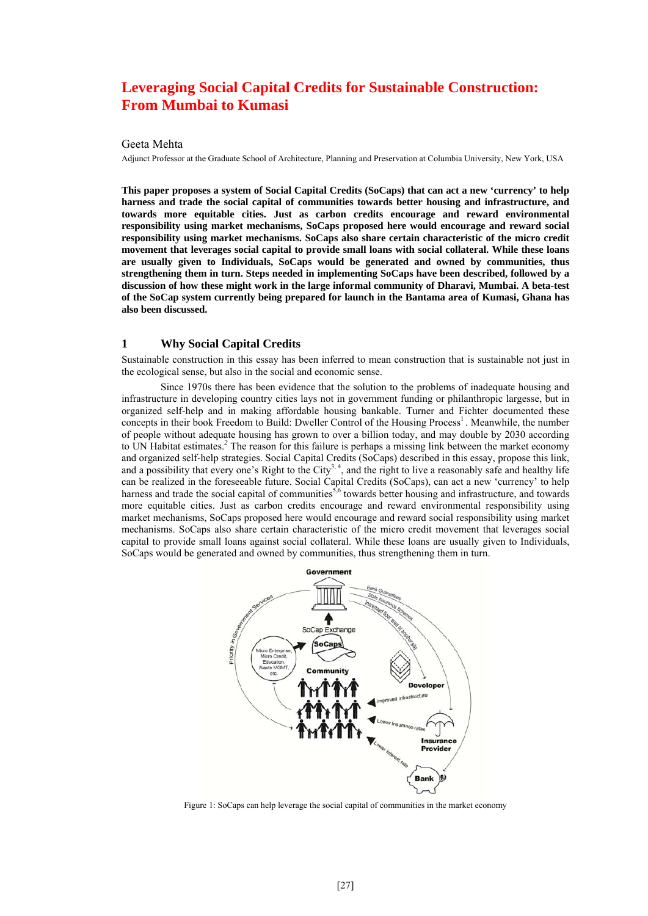# **Leveraging Social Capital Credits for Sustainable Construction: From Mumbai to Kumasi**

#### Geeta Mehta

Adjunct Professor at the Graduate School of Architecture, Planning and Preservation at Columbia University, New York, USA

**This paper proposes a system of Social Capital Credits (SoCaps) that can act a new 'currency' to help harness and trade the social capital of communities towards better housing and infrastructure, and towards more equitable cities. Just as carbon credits encourage and reward environmental responsibility using market mechanisms, SoCaps proposed here would encourage and reward social responsibility using market mechanisms. SoCaps also share certain characteristic of the micro credit movement that leverages social capital to provide small loans with social collateral. While these loans are usually given to Individuals, SoCaps would be generated and owned by communities, thus strengthening them in turn. Steps needed in implementing SoCaps have been described, followed by a discussion of how these might work in the large informal community of Dharavi, Mumbai. A beta-test of the SoCap system currently being prepared for launch in the Bantama area of Kumasi, Ghana has also been discussed.** 

### **1 Why Social Capital Credits**

Sustainable construction in this essay has been inferred to mean construction that is sustainable not just in the ecological sense, but also in the social and economic sense.

Since 1970s there has been evidence that the solution to the problems of inadequate housing and infrastructure in developing country cities lays not in government funding or philanthropic largesse, but in organized self-help and in making affordable housing bankable. Turner and Fichter documented these concepts in their book Freedom to Build: Dweller Control of the Housing Process<sup>1</sup>. Meanwhile, the number of people without adequate housing has grown to over a billion today, and may double by 2030 according to UN Habitat estimates.*<sup>2</sup>* The reason for this failure is perhaps a missing link between the market economy and organized self-help strategies. Social Capital Credits (SoCaps) described in this essay, propose this link, and a possibility that every one's Right to the City<sup>3, 4</sup>, and the right to live a reasonably safe and healthy life can be realized in the foreseeable future. Social Capital Credits (SoCaps), can act a new 'currency' to help harness and trade the social capital of communities<sup>5,6</sup> towards better housing and infrastructure, and towards more equitable cities. Just as carbon credits encourage and reward environmental responsibility using market mechanisms, SoCaps proposed here would encourage and reward social responsibility using market mechanisms. SoCaps also share certain characteristic of the micro credit movement that leverages social capital to provide small loans against social collateral. While these loans are usually given to Individuals, SoCaps would be generated and owned by communities, thus strengthening them in turn.



Figure 1: SoCaps can help leverage the social capital of communities in the market economy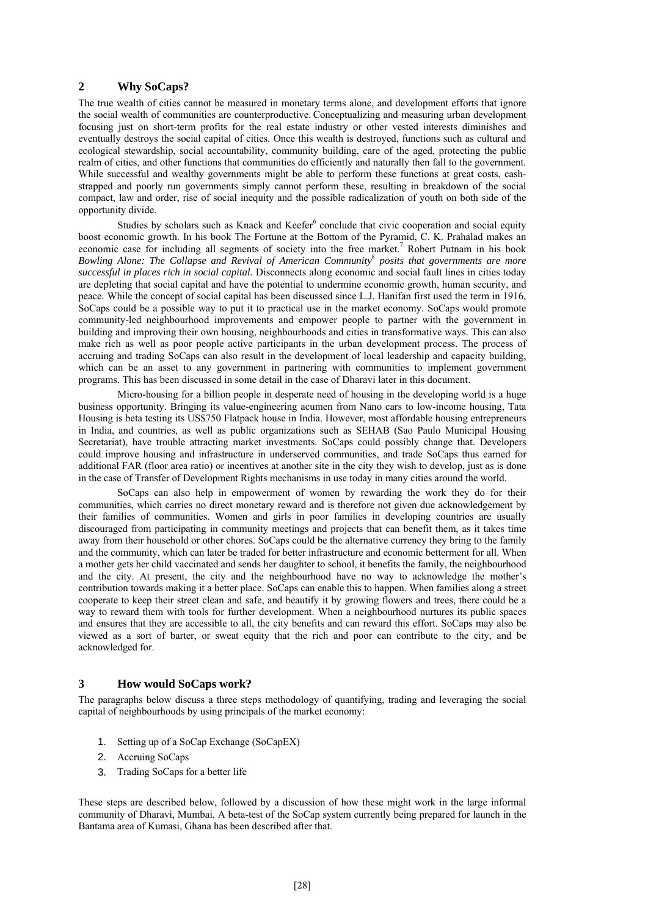#### **2 Why SoCaps?**

The true wealth of cities cannot be measured in monetary terms alone, and development efforts that ignore the social wealth of communities are counterproductive. Conceptualizing and measuring urban development focusing just on short-term profits for the real estate industry or other vested interests diminishes and eventually destroys the social capital of cities. Once this wealth is destroyed, functions such as cultural and ecological stewardship, social accountability, community building, care of the aged, protecting the public realm of cities, and other functions that communities do efficiently and naturally then fall to the government. While successful and wealthy governments might be able to perform these functions at great costs, cashstrapped and poorly run governments simply cannot perform these, resulting in breakdown of the social compact, law and order, rise of social inequity and the possible radicalization of youth on both side of the opportunity divide.

Studies by scholars such as Knack and Keefer<sup>6</sup> conclude that civic cooperation and social equity boost economic growth. In his book The Fortune at the Bottom of the Pyramid, C. K. Prahalad makes an economic case for including all segments of society into the free market.<sup>7</sup> Robert Putnam in his book *Bowling Alone: The Collapse and Revival of American Community*<sup>8</sup>  *posits that governments are more successful in places rich in social capital.* Disconnects along economic and social fault lines in cities today are depleting that social capital and have the potential to undermine economic growth, human security, and peace. While the concept of social capital has been discussed since L.J. Hanifan first used the term in 1916, SoCaps could be a possible way to put it to practical use in the market economy. SoCaps would promote community-led neighbourhood improvements and empower people to partner with the government in building and improving their own housing, neighbourhoods and cities in transformative ways. This can also make rich as well as poor people active participants in the urban development process. The process of accruing and trading SoCaps can also result in the development of local leadership and capacity building, which can be an asset to any government in partnering with communities to implement government programs. This has been discussed in some detail in the case of Dharavi later in this document.

Micro-housing for a billion people in desperate need of housing in the developing world is a huge business opportunity. Bringing its value-engineering acumen from Nano cars to low-income housing, Tata Housing is beta testing its US\$750 Flatpack house in India. However, most affordable housing entrepreneurs in India, and countries, as well as public organizations such as SEHAB (Sao Paulo Municipal Housing Secretariat), have trouble attracting market investments. SoCaps could possibly change that. Developers could improve housing and infrastructure in underserved communities, and trade SoCaps thus earned for additional FAR (floor area ratio) or incentives at another site in the city they wish to develop, just as is done in the case of Transfer of Development Rights mechanisms in use today in many cities around the world.

SoCaps can also help in empowerment of women by rewarding the work they do for their communities, which carries no direct monetary reward and is therefore not given due acknowledgement by their families of communities. Women and girls in poor families in developing countries are usually discouraged from participating in community meetings and projects that can benefit them, as it takes time away from their household or other chores. SoCaps could be the alternative currency they bring to the family and the community, which can later be traded for better infrastructure and economic betterment for all. When a mother gets her child vaccinated and sends her daughter to school, it benefits the family, the neighbourhood and the city. At present, the city and the neighbourhood have no way to acknowledge the mother's contribution towards making it a better place. SoCaps can enable this to happen. When families along a street cooperate to keep their street clean and safe, and beautify it by growing flowers and trees, there could be a way to reward them with tools for further development. When a neighbourhood nurtures its public spaces and ensures that they are accessible to all, the city benefits and can reward this effort. SoCaps may also be viewed as a sort of barter, or sweat equity that the rich and poor can contribute to the city, and be acknowledged for.

# **3 How would SoCaps work?**

The paragraphs below discuss a three steps methodology of quantifying, trading and leveraging the social capital of neighbourhoods by using principals of the market economy:

- 1. Setting up of a SoCap Exchange (SoCapEX)
- 2. Accruing SoCaps
- 3. Trading SoCaps for a better life

These steps are described below, followed by a discussion of how these might work in the large informal community of Dharavi, Mumbai. A beta-test of the SoCap system currently being prepared for launch in the Bantama area of Kumasi, Ghana has been described after that.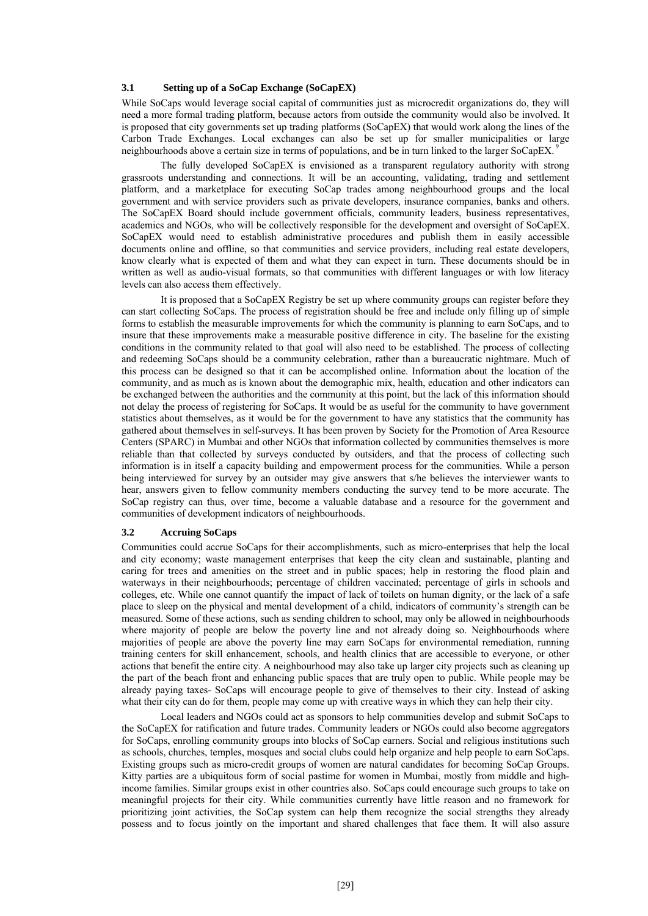#### **3.1 Setting up of a SoCap Exchange (SoCapEX)**

While SoCaps would leverage social capital of communities just as microcredit organizations do, they will need a more formal trading platform, because actors from outside the community would also be involved. It is proposed that city governments set up trading platforms (SoCapEX) that would work along the lines of the Carbon Trade Exchanges. Local exchanges can also be set up for smaller municipalities or large neighbourhoods above a certain size in terms of populations, and be in turn linked to the larger SoCapEX.<sup>9</sup>

The fully developed SoCapEX is envisioned as a transparent regulatory authority with strong grassroots understanding and connections. It will be an accounting, validating, trading and settlement platform, and a marketplace for executing SoCap trades among neighbourhood groups and the local government and with service providers such as private developers, insurance companies, banks and others. The SoCapEX Board should include government officials, community leaders, business representatives, academics and NGOs, who will be collectively responsible for the development and oversight of SoCapEX. SoCapEX would need to establish administrative procedures and publish them in easily accessible documents online and offline, so that communities and service providers, including real estate developers, know clearly what is expected of them and what they can expect in turn. These documents should be in written as well as audio-visual formats, so that communities with different languages or with low literacy levels can also access them effectively.

It is proposed that a SoCapEX Registry be set up where community groups can register before they can start collecting SoCaps. The process of registration should be free and include only filling up of simple forms to establish the measurable improvements for which the community is planning to earn SoCaps, and to insure that these improvements make a measurable positive difference in city. The baseline for the existing conditions in the community related to that goal will also need to be established. The process of collecting and redeeming SoCaps should be a community celebration, rather than a bureaucratic nightmare. Much of this process can be designed so that it can be accomplished online. Information about the location of the community, and as much as is known about the demographic mix, health, education and other indicators can be exchanged between the authorities and the community at this point, but the lack of this information should not delay the process of registering for SoCaps. It would be as useful for the community to have government statistics about themselves, as it would be for the government to have any statistics that the community has gathered about themselves in self-surveys. It has been proven by Society for the Promotion of Area Resource Centers (SPARC) in Mumbai and other NGOs that information collected by communities themselves is more reliable than that collected by surveys conducted by outsiders, and that the process of collecting such information is in itself a capacity building and empowerment process for the communities. While a person being interviewed for survey by an outsider may give answers that s/he believes the interviewer wants to hear, answers given to fellow community members conducting the survey tend to be more accurate. The SoCap registry can thus, over time, become a valuable database and a resource for the government and communities of development indicators of neighbourhoods.

# **3.2 Accruing SoCaps**

Communities could accrue SoCaps for their accomplishments, such as micro-enterprises that help the local and city economy; waste management enterprises that keep the city clean and sustainable, planting and caring for trees and amenities on the street and in public spaces; help in restoring the flood plain and waterways in their neighbourhoods; percentage of children vaccinated; percentage of girls in schools and colleges, etc. While one cannot quantify the impact of lack of toilets on human dignity, or the lack of a safe place to sleep on the physical and mental development of a child, indicators of community's strength can be measured. Some of these actions, such as sending children to school, may only be allowed in neighbourhoods where majority of people are below the poverty line and not already doing so. Neighbourhoods where majorities of people are above the poverty line may earn SoCaps for environmental remediation, running training centers for skill enhancement, schools, and health clinics that are accessible to everyone, or other actions that benefit the entire city. A neighbourhood may also take up larger city projects such as cleaning up the part of the beach front and enhancing public spaces that are truly open to public. While people may be already paying taxes- SoCaps will encourage people to give of themselves to their city. Instead of asking what their city can do for them, people may come up with creative ways in which they can help their city.

Local leaders and NGOs could act as sponsors to help communities develop and submit SoCaps to the SoCapEX for ratification and future trades. Community leaders or NGOs could also become aggregators for SoCaps, enrolling community groups into blocks of SoCap earners. Social and religious institutions such as schools, churches, temples, mosques and social clubs could help organize and help people to earn SoCaps. Existing groups such as micro-credit groups of women are natural candidates for becoming SoCap Groups. Kitty parties are a ubiquitous form of social pastime for women in Mumbai, mostly from middle and highincome families. Similar groups exist in other countries also. SoCaps could encourage such groups to take on meaningful projects for their city. While communities currently have little reason and no framework for prioritizing joint activities, the SoCap system can help them recognize the social strengths they already possess and to focus jointly on the important and shared challenges that face them. It will also assure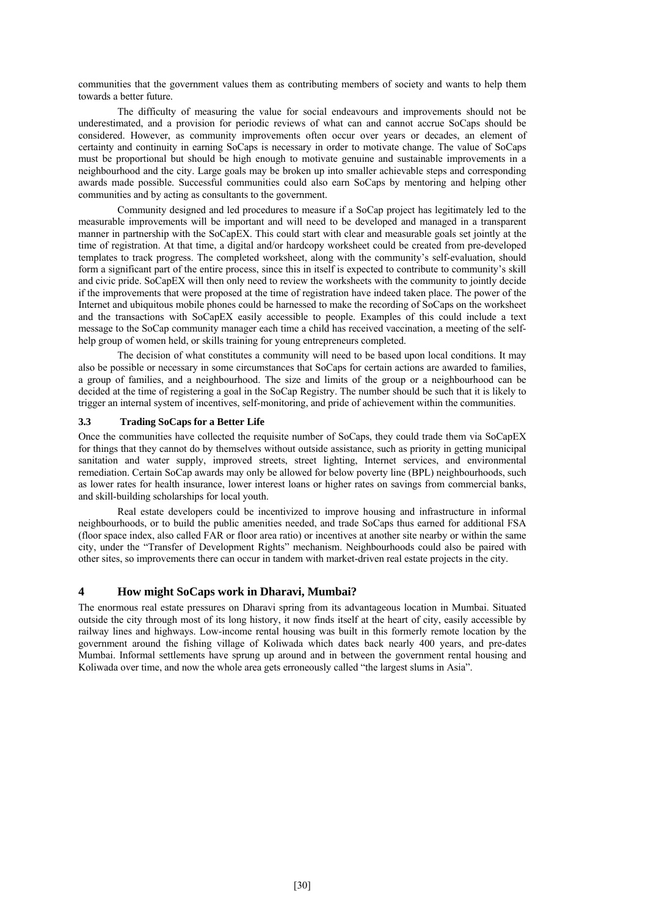communities that the government values them as contributing members of society and wants to help them towards a better future.

The difficulty of measuring the value for social endeavours and improvements should not be underestimated, and a provision for periodic reviews of what can and cannot accrue SoCaps should be considered. However, as community improvements often occur over years or decades, an element of certainty and continuity in earning SoCaps is necessary in order to motivate change. The value of SoCaps must be proportional but should be high enough to motivate genuine and sustainable improvements in a neighbourhood and the city. Large goals may be broken up into smaller achievable steps and corresponding awards made possible. Successful communities could also earn SoCaps by mentoring and helping other communities and by acting as consultants to the government.

Community designed and led procedures to measure if a SoCap project has legitimately led to the measurable improvements will be important and will need to be developed and managed in a transparent manner in partnership with the SoCapEX. This could start with clear and measurable goals set jointly at the time of registration. At that time, a digital and/or hardcopy worksheet could be created from pre-developed templates to track progress. The completed worksheet, along with the community's self-evaluation, should form a significant part of the entire process, since this in itself is expected to contribute to community's skill and civic pride. SoCapEX will then only need to review the worksheets with the community to jointly decide if the improvements that were proposed at the time of registration have indeed taken place. The power of the Internet and ubiquitous mobile phones could be harnessed to make the recording of SoCaps on the worksheet and the transactions with SoCapEX easily accessible to people. Examples of this could include a text message to the SoCap community manager each time a child has received vaccination, a meeting of the selfhelp group of women held, or skills training for young entrepreneurs completed.

The decision of what constitutes a community will need to be based upon local conditions. It may also be possible or necessary in some circumstances that SoCaps for certain actions are awarded to families, a group of families, and a neighbourhood. The size and limits of the group or a neighbourhood can be decided at the time of registering a goal in the SoCap Registry. The number should be such that it is likely to trigger an internal system of incentives, self-monitoring, and pride of achievement within the communities.

# **3.3 Trading SoCaps for a Better Life**

Once the communities have collected the requisite number of SoCaps, they could trade them via SoCapEX for things that they cannot do by themselves without outside assistance, such as priority in getting municipal sanitation and water supply, improved streets, street lighting, Internet services, and environmental remediation. Certain SoCap awards may only be allowed for below poverty line (BPL) neighbourhoods, such as lower rates for health insurance, lower interest loans or higher rates on savings from commercial banks, and skill-building scholarships for local youth.

Real estate developers could be incentivized to improve housing and infrastructure in informal neighbourhoods, or to build the public amenities needed, and trade SoCaps thus earned for additional FSA (floor space index, also called FAR or floor area ratio) or incentives at another site nearby or within the same city, under the "Transfer of Development Rights" mechanism. Neighbourhoods could also be paired with other sites, so improvements there can occur in tandem with market-driven real estate projects in the city.

# **4 How might SoCaps work in Dharavi, Mumbai?**

The enormous real estate pressures on Dharavi spring from its advantageous location in Mumbai. Situated outside the city through most of its long history, it now finds itself at the heart of city, easily accessible by railway lines and highways. Low-income rental housing was built in this formerly remote location by the government around the fishing village of Koliwada which dates back nearly 400 years, and pre-dates Mumbai. Informal settlements have sprung up around and in between the government rental housing and Koliwada over time, and now the whole area gets erroneously called "the largest slums in Asia".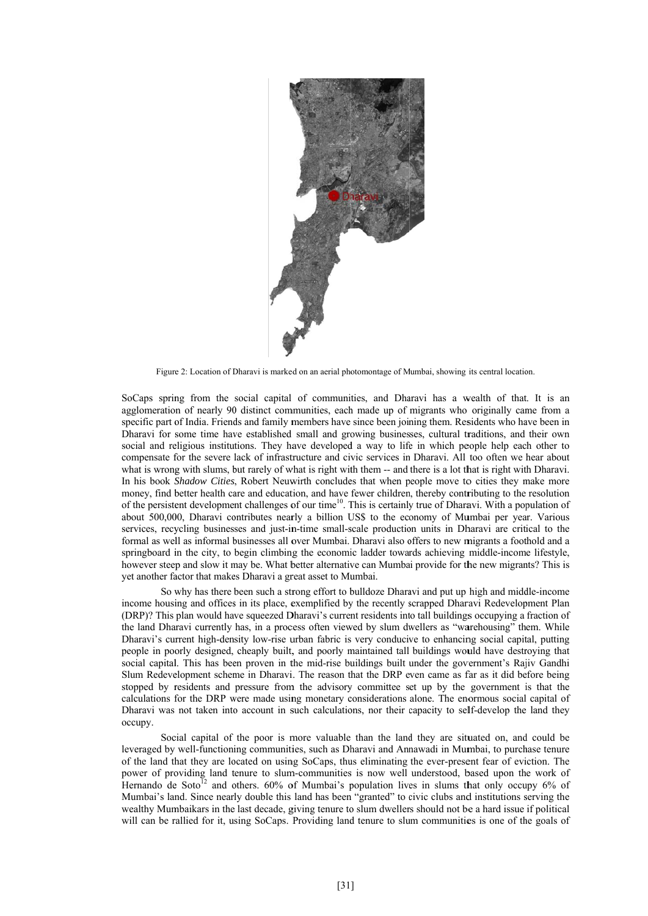

Figure 2: Location of Dharavi is marked on an aerial photomontage of Mumbai, showing its central location.

SoCaps spring from the social capital of communities, and Dharavi has a wealth of that. It is an agglomeration of nearly 90 distinct communities, each made up of migrants who originally came from a specific part of India. Friends and family members have since been joining them. Residents who have been in Dharavi for some time have established small and growing businesses, cultural traditions, and their own social and religious institutions. They have developed a way to life in which people help each other to compensate for the severe lack of infrastructure and civic services in Dharavi. All too often we hear about what is wrong with slums, but rarely of what is right with them -- and there is a lot that is right with Dharavi. In his book *Shadow Cities*, Robert Neuwirth concludes that when people move to cities they make more money, find better health care and education, and have fewer children, thereby contributing to the resolution of the persistent development challenges of our time<sup>10</sup>. This is certainly true of Dharavi. With a population of about 500,000, Dharavi contributes nearly a billion US\$ to the economy of Mumbai per year. Various services, recycling businesses and just-in-time small-scale production units in Dharavi are critical to the formal as well as informal businesses all over Mumbai. Dharavi also offers to new migrants a foothold and a springboard in the city, to begin climbing the economic ladder towards achieving middle-income lifestyle, however steep and slow it may be. What better alternative can Mumbai provide for the new migrants? This is yet another factor that makes Dharavi a great asset to Mumbai.

So why has there been such a strong effort to bulldoze Dharavi and put up high and middle-income income housing and offices in its place, exemplified by the recently scrapped Dharavi Redevelopment Plan (DRP)? This plan would have squeezed Dharavi's current residents into tall buildings occupying a fraction of the land Dharavi currently has, in a process often viewed by slum dwellers as "warehousing" them. While Dharavi's current high-density low-rise urban fabric is very conducive to enhancing social capital, putting people in poorly designed, cheaply built, and poorly maintained tall buildings would have destroying that social capital. This has been proven in the mid-rise buildings built under the government's Rajiv Gandhi Slum Redevelopment scheme in Dharavi. The reason that the DRP even came as far as it did before being stopped by residents and pressure from the advisory committee set up by the government is that the calculations for the DRP were made using monetary considerations alone. The enormous social capital of Dharavi was not taken into account in such calculations, nor their capacity to self-develop the land they occupy.

Social capital of the poor is more valuable than the land they are situated on, and could be leveraged by well-functioning communities, such as Dharavi and Annawadi in Mumbai, to purchase tenure of the land that they are located on using SoCaps, thus eliminating the ever-present fear of eviction. The power of providing land tenure to slum-communities is now well understood, based upon the work of Hernando de Soto<sup>12</sup> and others. 60% of Mumbai's population lives in slums that only occupy 6% of Mumbai's land. Since nearly double this land has been "granted" to civic clubs and institutions serving the wealthy Mumbaikars in the last decade, giving tenure to slum dwellers should not be a hard issue if political will can be rallied for it, using SoCaps. Providing land tenure to slum communities is one of the goals of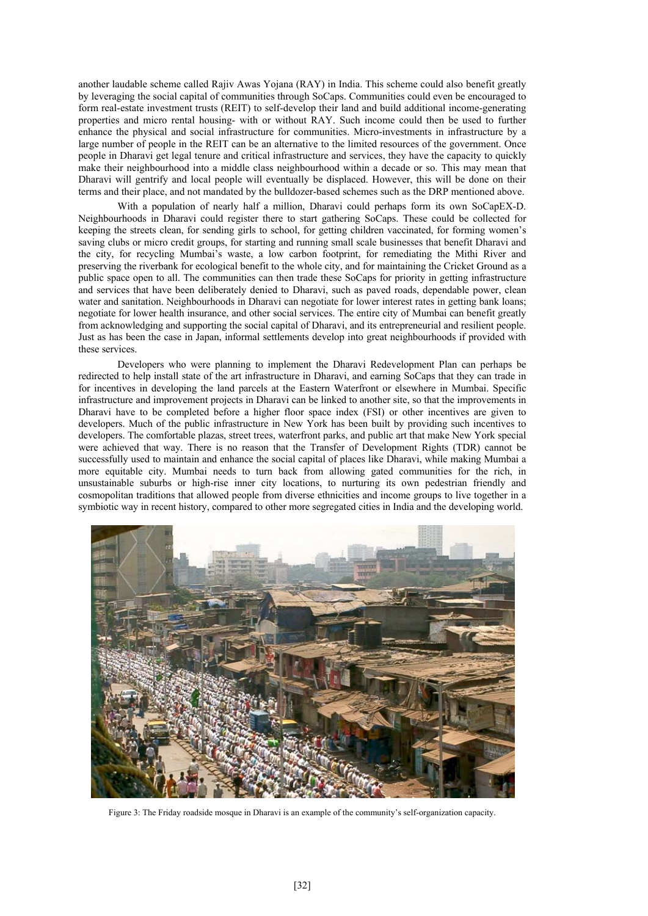another laudable scheme called Rajiv Awas Yojana (RAY) in India. This scheme could also benefit greatly by leveraging the social capital of communities through SoCaps. Communities could even be encouraged to form real-estate investment trusts (REIT) to self-develop their land and build additional income-generating properties and micro rental housing- with or without RAY. Such income could then be used to further enhance the physical and social infrastructure for communities. Micro-investments in infrastructure by a large number of people in the REIT can be an alternative to the limited resources of the government. Once people in Dharavi get legal tenure and critical infrastructure and services, they have the capacity to quickly make their neighbourhood into a middle class neighbourhood within a decade or so. This may mean that Dharavi will gentrify and local people will eventually be displaced. However, this will be done on their terms and their place, and not mandated by the bulldozer-based schemes such as the DRP mentioned above.

With a population of nearly half a million, Dharavi could perhaps form its own SoCapEX-D. Neighbourhoods in Dharavi could register there to start gathering SoCaps. These could be collected for keeping the streets clean, for sending girls to school, for getting children vaccinated, for forming women's saving clubs or micro credit groups, for starting and running small scale businesses that benefit Dharavi and the city, for recycling Mumbai's waste, a low carbon footprint, for remediating the Mithi River and preserving the riverbank for ecological benefit to the whole city, and for maintaining the Cricket Ground as a public space open to all. The communities can then trade these SoCaps for priority in getting infrastructure and services that have been deliberately denied to Dharavi, such as paved roads, dependable power, clean water and sanitation. Neighbourhoods in Dharavi can negotiate for lower interest rates in getting bank loans; negotiate for lower health insurance, and other social services. The entire city of Mumbai can benefit greatly from acknowledging and supporting the social capital of Dharavi, and its entrepreneurial and resilient people. Just as has been the case in Japan, informal settlements develop into great neighbourhoods if provided with these services.

Developers who were planning to implement the Dharavi Redevelopment Plan can perhaps be redirected to help install state of the art infrastructure in Dharavi, and earning SoCaps that they can trade in for incentives in developing the land parcels at the Eastern Waterfront or elsewhere in Mumbai. Specific infrastructure and improvement projects in Dharavi can be linked to another site, so that the improvements in Dharavi have to be completed before a higher floor space index (FSI) or other incentives are given to developers. Much of the public infrastructure in New York has been built by providing such incentives to developers. The comfortable plazas, street trees, waterfront parks, and public art that make New York special were achieved that way. There is no reason that the Transfer of Development Rights (TDR) cannot be successfully used to maintain and enhance the social capital of places like Dharavi, while making Mumbai a more equitable city. Mumbai needs to turn back from allowing gated communities for the rich, in unsustainable suburbs or high-rise inner city locations, to nurturing its own pedestrian friendly and cosmopolitan traditions that allowed people from diverse ethnicities and income groups to live together in a symbiotic way in recent history, compared to other more segregated cities in India and the developing world.



Figure 3: The Friday roadside mosque in Dharavi is an example of the community's self-organization capacity.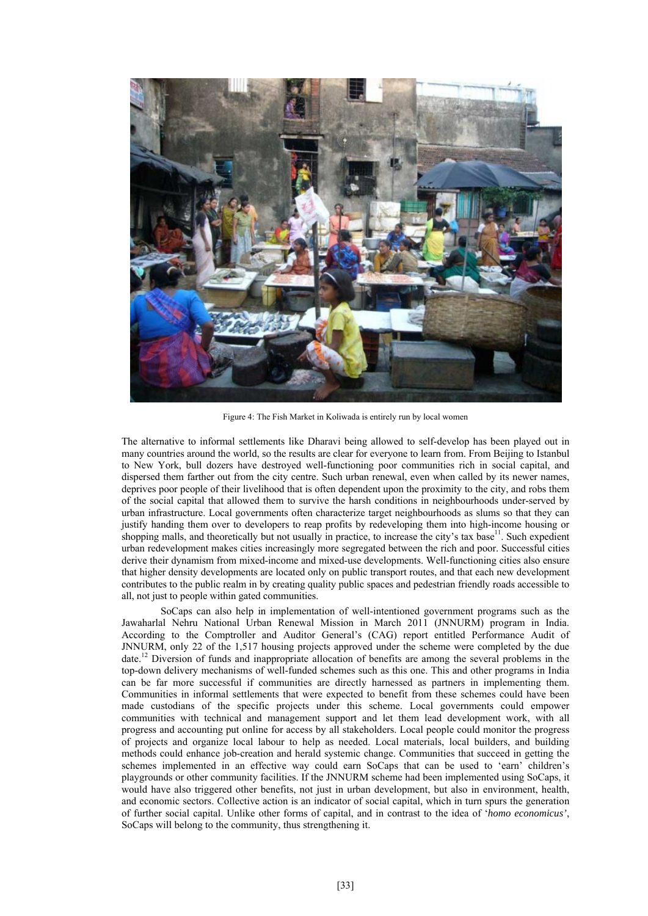

Figure 4: The Fish Market in Koliwada is entirely run by local women

The alternative to informal settlements like Dharavi being allowed to self-develop has been played out in many countries around the world, so the results are clear for everyone to learn from. From Beijing to Istanbul to New York, bull dozers have destroyed well-functioning poor communities rich in social capital, and dispersed them farther out from the city centre. Such urban renewal, even when called by its newer names, deprives poor people of their livelihood that is often dependent upon the proximity to the city, and robs them of the social capital that allowed them to survive the harsh conditions in neighbourhoods under-served by urban infrastructure. Local governments often characterize target neighbourhoods as slums so that they can justify handing them over to developers to reap profits by redeveloping them into high-income housing or shopping malls, and theoretically but not usually in practice, to increase the city's tax base<sup>11</sup>. Such expedient urban redevelopment makes cities increasingly more segregated between the rich and poor. Successful cities derive their dynamism from mixed-income and mixed-use developments. Well-functioning cities also ensure that higher density developments are located only on public transport routes, and that each new development contributes to the public realm in by creating quality public spaces and pedestrian friendly roads accessible to all, not just to people within gated communities.

SoCaps can also help in implementation of well-intentioned government programs such as the Jawaharlal Nehru National Urban Renewal Mission in March 2011 (JNNURM) program in India. According to the Comptroller and Auditor General's (CAG) report entitled Performance Audit of JNNURM, only 22 of the 1,517 housing projects approved under the scheme were completed by the due date.<sup>12</sup> Diversion of funds and inappropriate allocation of benefits are among the several problems in the top-down delivery mechanisms of well-funded schemes such as this one. This and other programs in India can be far more successful if communities are directly harnessed as partners in implementing them. Communities in informal settlements that were expected to benefit from these schemes could have been made custodians of the specific projects under this scheme. Local governments could empower communities with technical and management support and let them lead development work, with all progress and accounting put online for access by all stakeholders. Local people could monitor the progress of projects and organize local labour to help as needed. Local materials, local builders, and building methods could enhance job-creation and herald systemic change. Communities that succeed in getting the schemes implemented in an effective way could earn SoCaps that can be used to 'earn' children's playgrounds or other community facilities. If the JNNURM scheme had been implemented using SoCaps, it would have also triggered other benefits, not just in urban development, but also in environment, health, and economic sectors. Collective action is an indicator of social capital, which in turn spurs the generation of further social capital. Unlike other forms of capital, and in contrast to the idea of '*homo economicus'*, SoCaps will belong to the community, thus strengthening it.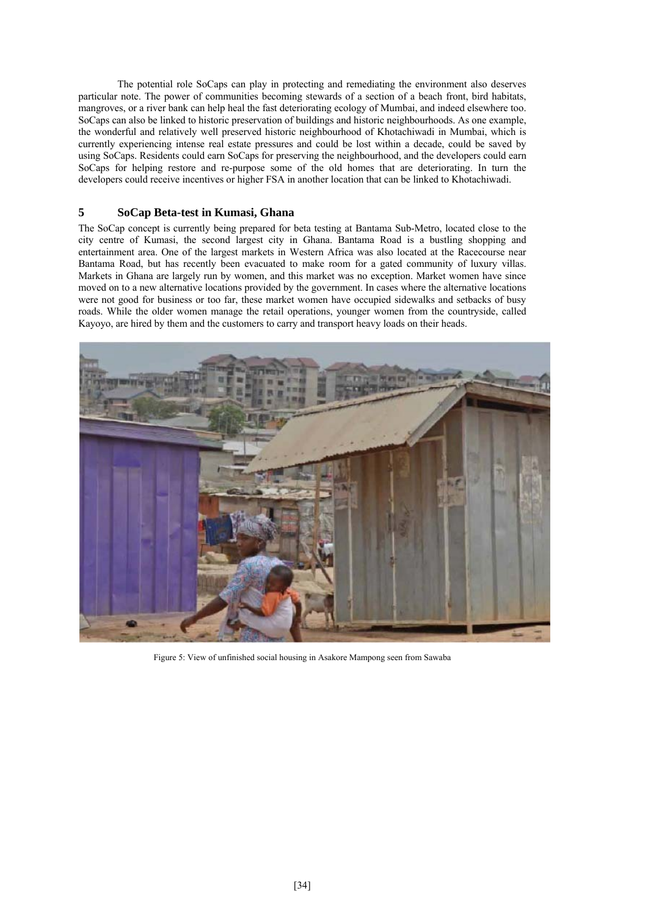The potential role SoCaps can play in protecting and remediating the environment also deserves particular note. The power of communities becoming stewards of a section of a beach front, bird habitats, mangroves, or a river bank can help heal the fast deteriorating ecology of Mumbai, and indeed elsewhere too. SoCaps can also be linked to historic preservation of buildings and historic neighbourhoods. As one example, the wonderful and relatively well preserved historic neighbourhood of Khotachiwadi in Mumbai, which is currently experiencing intense real estate pressures and could be lost within a decade, could be saved by using SoCaps. Residents could earn SoCaps for preserving the neighbourhood, and the developers could earn SoCaps for helping restore and re-purpose some of the old homes that are deteriorating. In turn the developers could receive incentives or higher FSA in another location that can be linked to Khotachiwadi.

# **5 SoCap Beta-test in Kumasi, Ghana**

The SoCap concept is currently being prepared for beta testing at Bantama Sub-Metro, located close to the city centre of Kumasi, the second largest city in Ghana. Bantama Road is a bustling shopping and entertainment area. One of the largest markets in Western Africa was also located at the Racecourse near Bantama Road, but has recently been evacuated to make room for a gated community of luxury villas. Markets in Ghana are largely run by women, and this market was no exception. Market women have since moved on to a new alternative locations provided by the government. In cases where the alternative locations were not good for business or too far, these market women have occupied sidewalks and setbacks of busy roads. While the older women manage the retail operations, younger women from the countryside, called Kayoyo, are hired by them and the customers to carry and transport heavy loads on their heads.



Figure 5: View of unfinished social housing in Asakore Mampong seen from Sawaba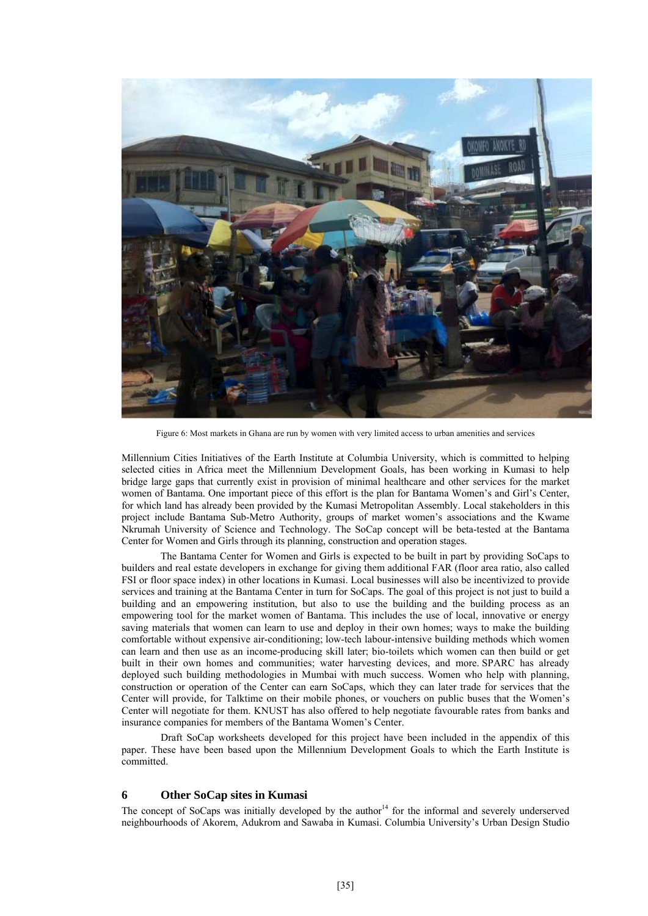

Figure 6: Most markets in Ghana are run by women with very limited access to urban amenities and services

Millennium Cities Initiatives of the Earth Institute at Columbia University, which is committed to helping selected cities in Africa meet the Millennium Development Goals, has been working in Kumasi to help bridge large gaps that currently exist in provision of minimal healthcare and other services for the market women of Bantama. One important piece of this effort is the plan for Bantama Women's and Girl's Center, for which land has already been provided by the Kumasi Metropolitan Assembly. Local stakeholders in this project include Bantama Sub-Metro Authority, groups of market women's associations and the Kwame Nkrumah University of Science and Technology. The SoCap concept will be beta-tested at the Bantama Center for Women and Girls through its planning, construction and operation stages.

The Bantama Center for Women and Girls is expected to be built in part by providing SoCaps to builders and real estate developers in exchange for giving them additional FAR (floor area ratio, also called FSI or floor space index) in other locations in Kumasi. Local businesses will also be incentivized to provide services and training at the Bantama Center in turn for SoCaps. The goal of this project is not just to build a building and an empowering institution, but also to use the building and the building process as an empowering tool for the market women of Bantama. This includes the use of local, innovative or energy saving materials that women can learn to use and deploy in their own homes; ways to make the building comfortable without expensive air-conditioning; low-tech labour-intensive building methods which women can learn and then use as an income-producing skill later; bio-toilets which women can then build or get built in their own homes and communities; water harvesting devices, and more. SPARC has already deployed such building methodologies in Mumbai with much success. Women who help with planning, construction or operation of the Center can earn SoCaps, which they can later trade for services that the Center will provide, for Talktime on their mobile phones, or vouchers on public buses that the Women's Center will negotiate for them. KNUST has also offered to help negotiate favourable rates from banks and insurance companies for members of the Bantama Women's Center.

Draft SoCap worksheets developed for this project have been included in the appendix of this paper. These have been based upon the Millennium Development Goals to which the Earth Institute is committed.

#### **6 Other SoCap sites in Kumasi**

The concept of SoCaps was initially developed by the author $14$  for the informal and severely underserved neighbourhoods of Akorem, Adukrom and Sawaba in Kumasi. Columbia University's Urban Design Studio